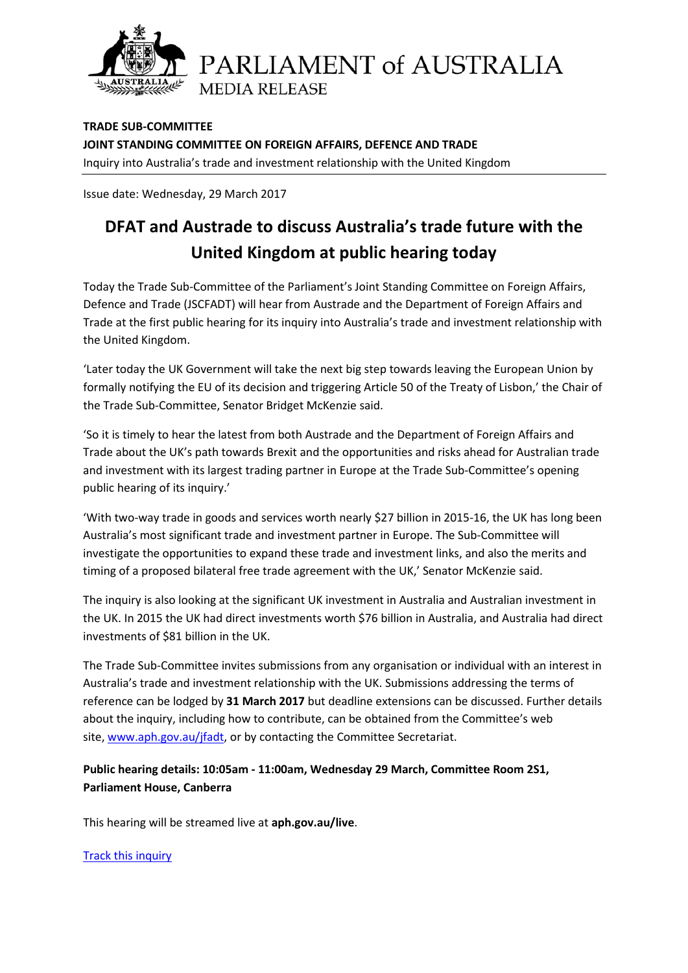

PARLIAMENT of AUSTRALIA **MEDIA RELEASE** 

**TRADE SUB-COMMITTEE JOINT STANDING COMMITTEE ON FOREIGN AFFAIRS, DEFENCE AND TRADE** Inquiry into Australia's trade and investment relationship with the United Kingdom

Issue date: Wednesday, 29 March 2017

## **DFAT and Austrade to discuss Australia's trade future with the United Kingdom at public hearing today**

Today the Trade Sub-Committee of the Parliament's Joint Standing Committee on Foreign Affairs, Defence and Trade (JSCFADT) will hear from Austrade and the Department of Foreign Affairs and Trade at the first public hearing for its inquiry into Australia's trade and investment relationship with the United Kingdom.

'Later today the UK Government will take the next big step towards leaving the European Union by formally notifying the EU of its decision and triggering Article 50 of the Treaty of Lisbon,' the Chair of the Trade Sub-Committee, Senator Bridget McKenzie said.

'So it is timely to hear the latest from both Austrade and the Department of Foreign Affairs and Trade about the UK's path towards Brexit and the opportunities and risks ahead for Australian trade and investment with its largest trading partner in Europe at the Trade Sub-Committee's opening public hearing of its inquiry.'

'With two-way trade in goods and services worth nearly \$27 billion in 2015-16, the UK has long been Australia's most significant trade and investment partner in Europe. The Sub-Committee will investigate the opportunities to expand these trade and investment links, and also the merits and timing of a proposed bilateral free trade agreement with the UK,' Senator McKenzie said.

The inquiry is also looking at the significant UK investment in Australia and Australian investment in the UK. In 2015 the UK had direct investments worth \$76 billion in Australia, and Australia had direct investments of \$81 billion in the UK.

The Trade Sub-Committee invites submissions from any organisation or individual with an interest in Australia's trade and investment relationship with the UK. Submissions addressing the terms of reference can be lodged by **31 March 2017** but deadline extensions can be discussed. Further details about the inquiry, including how to contribute, can be obtained from the Committee's web site, [www.aph.gov.au/jfadt,](http://www.aph.gov.au/jfadt) or by contacting the Committee Secretariat.

## **Public hearing details: 10:05am - 11:00am, Wednesday 29 March, Committee Room 2S1, Parliament House, Canberra**

This hearing will be streamed live at **[aph.gov.au/live](http://houseofrepresentatives.cmail20.com/t/d-l-hhujtly-yduitjiri-h/)**.

[Track this inquiry](http://www.aph.gov.au/MyParliament)